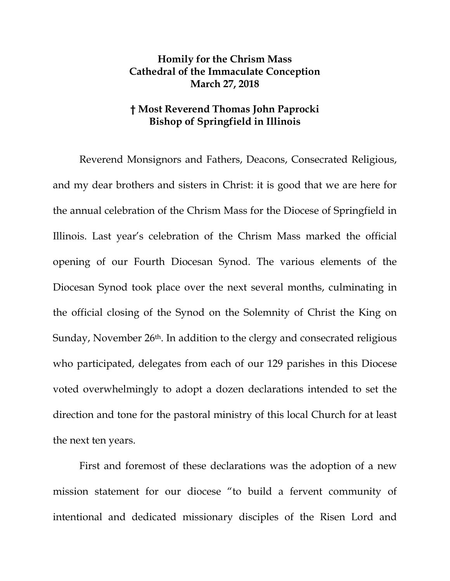## **Homily for the Chrism Mass Cathedral of the Immaculate Conception March 27, 2018**

## **† Most Reverend Thomas John Paprocki Bishop of Springfield in Illinois**

Reverend Monsignors and Fathers, Deacons, Consecrated Religious, and my dear brothers and sisters in Christ: it is good that we are here for the annual celebration of the Chrism Mass for the Diocese of Springfield in Illinois. Last year's celebration of the Chrism Mass marked the official opening of our Fourth Diocesan Synod. The various elements of the Diocesan Synod took place over the next several months, culminating in the official closing of the Synod on the Solemnity of Christ the King on Sunday, November 26<sup>th</sup>. In addition to the clergy and consecrated religious who participated, delegates from each of our 129 parishes in this Diocese voted overwhelmingly to adopt a dozen declarations intended to set the direction and tone for the pastoral ministry of this local Church for at least the next ten years.

First and foremost of these declarations was the adoption of a new mission statement for our diocese "to build a fervent community of intentional and dedicated missionary disciples of the Risen Lord and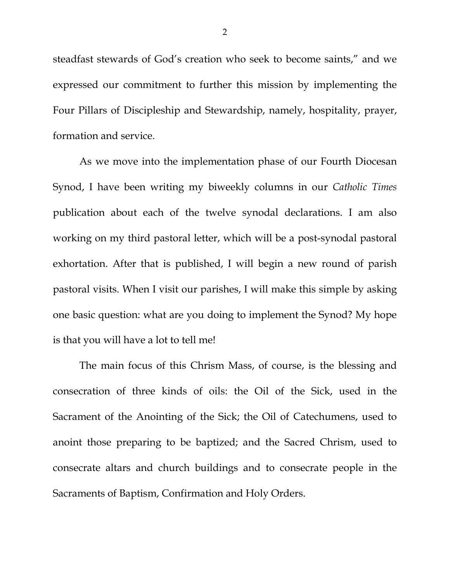steadfast stewards of God's creation who seek to become saints," and we expressed our commitment to further this mission by implementing the Four Pillars of Discipleship and Stewardship, namely, hospitality, prayer, formation and service.

As we move into the implementation phase of our Fourth Diocesan Synod, I have been writing my biweekly columns in our *Catholic Times* publication about each of the twelve synodal declarations. I am also working on my third pastoral letter, which will be a post-synodal pastoral exhortation. After that is published, I will begin a new round of parish pastoral visits. When I visit our parishes, I will make this simple by asking one basic question: what are you doing to implement the Synod? My hope is that you will have a lot to tell me!

The main focus of this Chrism Mass, of course, is the blessing and consecration of three kinds of oils: the Oil of the Sick, used in the Sacrament of the Anointing of the Sick; the Oil of Catechumens, used to anoint those preparing to be baptized; and the Sacred Chrism, used to consecrate altars and church buildings and to consecrate people in the Sacraments of Baptism, Confirmation and Holy Orders.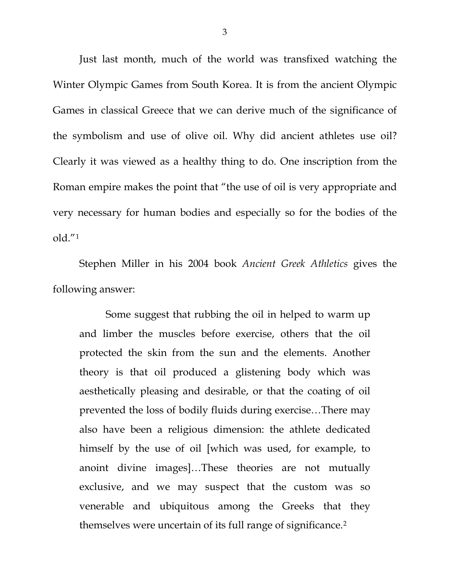Just last month, much of the world was transfixed watching the Winter Olympic Games from South Korea. It is from the ancient Olympic Games in classical Greece that we can derive much of the significance of the symbolism and use of olive oil. Why did ancient athletes use oil? Clearly it was viewed as a healthy thing to do. One inscription from the Roman empire makes the point that "the use of oil is very appropriate and very necessary for human bodies and especially so for the bodies of the old."[1](#page-5-0)

Stephen Miller in his 2004 book *Ancient Greek Athletics* gives the following answer:

Some suggest that rubbing the oil in helped to warm up and limber the muscles before exercise, others that the oil protected the skin from the sun and the elements. Another theory is that oil produced a glistening body which was aesthetically pleasing and desirable, or that the coating of oil prevented the loss of bodily fluids during exercise…There may also have been a religious dimension: the athlete dedicated himself by the use of oil [which was used, for example, to anoint divine images]…These theories are not mutually exclusive, and we may suspect that the custom was so venerable and ubiquitous among the Greeks that they themselves were uncertain of its full range of significance.[2](#page-5-1)

3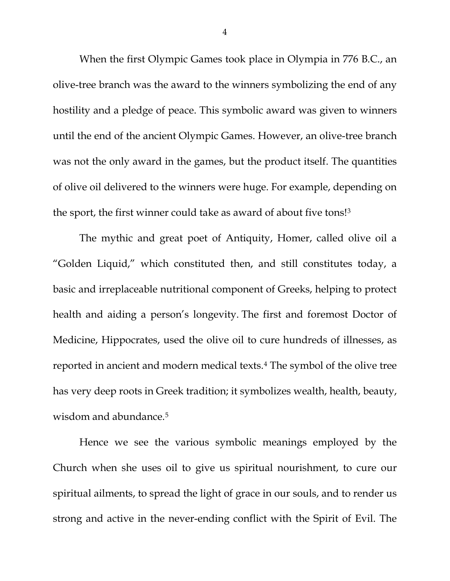When the first Olympic Games took place in Olympia in 776 B.C., an olive-tree branch was the award to the winners symbolizing the end of any hostility and a pledge of peace. This symbolic award was given to winners until the end of the ancient Olympic Games. However, an olive-tree branch was not the only award in the games, but the product itself. The quantities of olive oil delivered to the winners were huge. For example, depending on the sport, the first winner could take as award of about five tons![3](#page-5-2)

The mythic and great poet of Antiquity, Homer, called olive oil a "Golden Liquid," which constituted then, and still constitutes today, a basic and irreplaceable nutritional component of Greeks, helping to protect health and aiding a person's longevity. The first and foremost Doctor of Medicine, Hippocrates, used the olive oil to cure hundreds of illnesses, as reported in ancient and modern medical texts.[4](#page-5-3) The symbol of the olive tree has very deep roots in Greek tradition; it symbolizes wealth, health, beauty, wisdom and abundance.<sup>[5](#page-5-4)</sup>

Hence we see the various symbolic meanings employed by the Church when she uses oil to give us spiritual nourishment, to cure our spiritual ailments, to spread the light of grace in our souls, and to render us strong and active in the never-ending conflict with the Spirit of Evil. The

4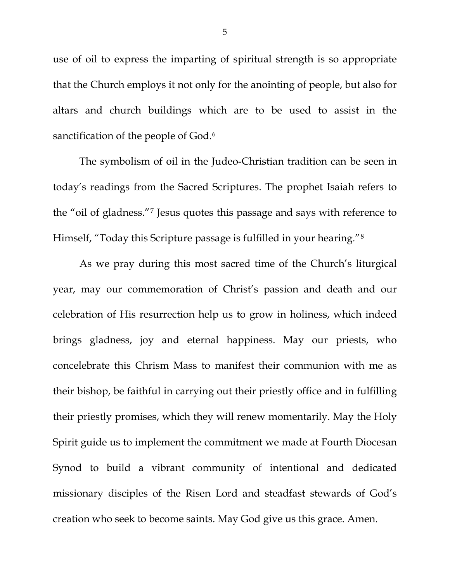use of oil to express the imparting of spiritual strength is so appropriate that the Church employs it not only for the anointing of people, but also for altars and church buildings which are to be used to assist in the sanctification of the people of God.<sup>[6](#page-5-5)</sup>

The symbolism of oil in the Judeo-Christian tradition can be seen in today's readings from the Sacred Scriptures. The prophet Isaiah refers to the "oil of gladness."[7](#page-5-6) Jesus quotes this passage and says with reference to Himself, "Today this Scripture passage is fulfilled in your hearing."[8](#page-5-7)

As we pray during this most sacred time of the Church's liturgical year, may our commemoration of Christ's passion and death and our celebration of His resurrection help us to grow in holiness, which indeed brings gladness, joy and eternal happiness. May our priests, who concelebrate this Chrism Mass to manifest their communion with me as their bishop, be faithful in carrying out their priestly office and in fulfilling their priestly promises, which they will renew momentarily. May the Holy Spirit guide us to implement the commitment we made at Fourth Diocesan Synod to build a vibrant community of intentional and dedicated missionary disciples of the Risen Lord and steadfast stewards of God's creation who seek to become saints. May God give us this grace. Amen.